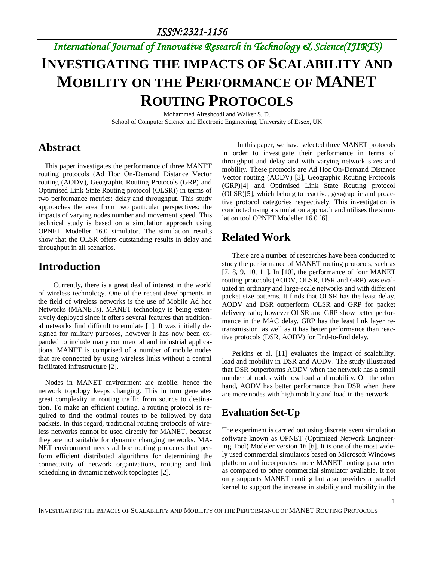# *International Journal of Innovative Research in Technology & Science(IJIRTS)* **INVESTIGATING THE IMPACTS OF SCALABILITY AND MOBILITY ON THE PERFORMANCE OF MANET ROUTING PROTOCOLS**

Mohammed Alreshoodi and Walker S. D. School of Computer Science and Electronic Engineering, University of Essex, UK

### **Abstract**

This paper investigates the performance of three MANET routing protocols (Ad Hoc On-Demand Distance Vector routing (AODV), Geographic Routing Protocols (GRP) and Optimised Link State Routing protocol (OLSR)) in terms of two performance metrics: delay and throughput. This study approaches the area from two particular perspectives: the impacts of varying nodes number and movement speed. This technical study is based on a simulation approach using OPNET Modeller 16.0 simulator. The simulation results show that the OLSR offers outstanding results in delay and throughput in all scenarios.

### **Introduction**

 Currently, there is a great deal of interest in the world of wireless technology. One of the recent developments in the field of wireless networks is the use of Mobile Ad hoc Networks (MANETs). MANET technology is being extensively deployed since it offers several features that traditional networks find difficult to emulate [1]. It was initially designed for military purposes, however it has now been expanded to include many commercial and industrial applications. MANET is comprised of a number of mobile nodes that are connected by using wireless links without a central facilitated infrastructure [2].

 Nodes in MANET environment are mobile; hence the network topology keeps changing. This in turn generates great complexity in routing traffic from source to destination. To make an efficient routing, a routing protocol is required to find the optimal routes to be followed by data packets. In this regard, traditional routing protocols of wireless networks cannot be used directly for MANET, because they are not suitable for dynamic changing networks. MA-NET environment needs ad hoc routing protocols that perform efficient distributed algorithms for determining the connectivity of network organizations, routing and link scheduling in dynamic network topologies [2].

In this paper, we have selected three MANET protocols in order to investigate their performance in terms of throughput and delay and with varying network sizes and mobility. These protocols are Ad Hoc On-Demand Distance Vector routing (AODV) [3], Geographic Routing Protocols (GRP)[4] and Optimised Link State Routing protocol (OLSR)[5], which belong to reactive, geographic and proactive protocol categories respectively. This investigation is conducted using a simulation approach and utilises the simulation tool OPNET Modeller 16.0 [6].

# **Related Work**

There are a number of researches have been conducted to study the performance of MANET routing protocols, such as [7, 8, 9, 10, 11]. In [10], the performance of four MANET routing protocols (AODV, OLSR, DSR and GRP) was evaluated in ordinary and large-scale networks and with different packet size patterns. It finds that OLSR has the least delay. AODV and DSR outperform OLSR and GRP for packet delivery ratio; however OLSR and GRP show better performance in the MAC delay. GRP has the least link layer retransmission, as well as it has better performance than reactive protocols (DSR, AODV) for End-to-End delay.

Perkins et al. [11] evaluates the impact of scalability, load and mobility in DSR and AODV. The study illustrated that DSR outperforms AODV when the network has a small number of nodes with low load and mobility. On the other hand, AODV has better performance than DSR when there are more nodes with high mobility and load in the network.

### **Evaluation Set-Up**

The experiment is carried out using discrete event simulation software known as OPNET (Optimized Network Engineering Tool) Modeler version 16 [6]. It is one of the most widely used commercial simulators based on Microsoft Windows platform and incorporates more MANET routing parameter as compared to other commercial simulator available. It not only supports MANET routing but also provides a parallel kernel to support the increase in stability and mobility in the

1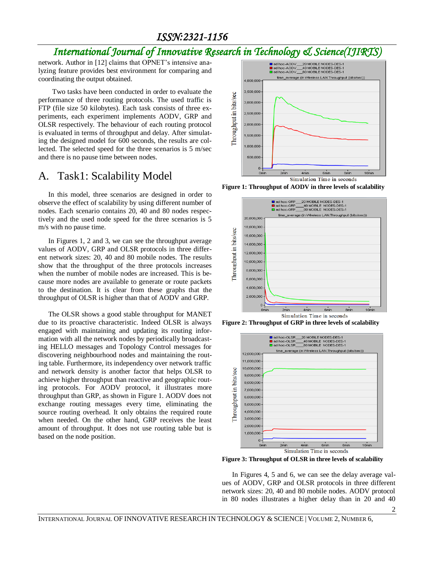# *International Journal of Innovative Research in Technology & Science(IJIRTS)*

network. Author in [12] claims that OPNET's intensive analyzing feature provides best environment for comparing and coordinating the output obtained.

 Two tasks have been conducted in order to evaluate the performance of three routing protocols. The used traffic is FTP (file size 50 kilobytes). Each task consists of three experiments, each experiment implements AODV, GRP and OLSR respectively. The behaviour of each routing protocol is evaluated in terms of throughput and delay. After simulating the designed model for 600 seconds, the results are collected. The selected speed for the three scenarios is 5 m/sec and there is no pause time between nodes.

### A. Task1: Scalability Model

In this model, three scenarios are designed in order to observe the effect of scalability by using different number of nodes. Each scenario contains 20, 40 and 80 nodes respectively and the used node speed for the three scenarios is 5 m/s with no pause time.

In Figures 1, 2 and 3, we can see the throughput average values of AODV, GRP and OLSR protocols in three different network sizes: 20, 40 and 80 mobile nodes. The results show that the throughput of the three protocols increases when the number of mobile nodes are increased. This is because more nodes are available to generate or route packets to the destination. It is clear from these graphs that the throughput of OLSR is higher than that of AODV and GRP.

The OLSR shows a good stable throughput for MANET due to its proactive characteristic. Indeed OLSR is always engaged with maintaining and updating its routing information with all the network nodes by periodically broadcasting HELLO messages and Topology Control messages for discovering neighbourhood nodes and maintaining the routing table. Furthermore, its independency over network traffic and network density is another factor that helps OLSR to achieve higher throughput than reactive and geographic routing protocols. For AODV protocol, it illustrates more throughput than GRP, as shown in Figure 1. AODV does not exchange routing messages every time, eliminating the source routing overhead. It only obtains the required route when needed. On the other hand, GRP receives the least amount of throughput. It does not use routing table but is based on the node position.



**Figure 1: Throughput of AODV in three levels of scalability**



**Figure 2: Throughput of GRP in three levels of scalability**



**Figure 3: Throughput of OLSR in three levels of scalability**

In Figures 4, 5 and 6, we can see the delay average values of AODV, GRP and OLSR protocols in three different network sizes: 20, 40 and 80 mobile nodes. AODV protocol in 80 nodes illustrates a higher delay than in 20 and 40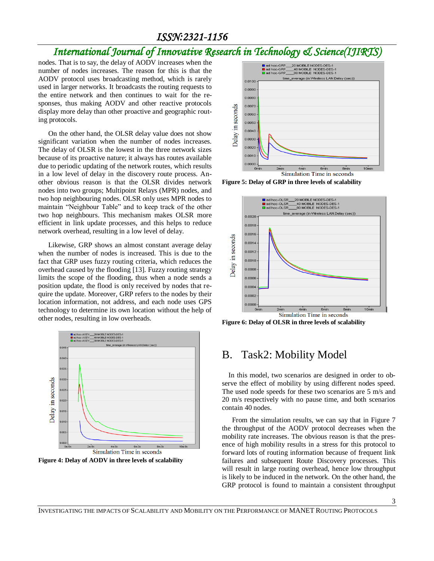# *International Journal of Innovative Research in Technology & Science(IJIRTS)*

nodes. That is to say, the delay of AODV increases when the number of nodes increases. The reason for this is that the AODV protocol uses broadcasting method, which is rarely used in larger networks. It broadcasts the routing requests to the entire network and then continues to wait for the responses, thus making AODV and other reactive protocols display more delay than other proactive and geographic routing protocols.

On the other hand, the OLSR delay value does not show significant variation when the number of nodes increases. The delay of OLSR is the lowest in the three network sizes because of its proactive nature; it always has routes available due to periodic updating of the network routes, which results in a low level of delay in the discovery route process. Another obvious reason is that the OLSR divides network nodes into two groups; Multipoint Relays (MPR) nodes, and two hop neighbouring nodes. OLSR only uses MPR nodes to maintain "Neighbour Table" and to keep track of the other two hop neighbours. This mechanism makes OLSR more efficient in link update processes, and this helps to reduce network overhead, resulting in a low level of delay.

Likewise, GRP shows an almost constant average delay when the number of nodes is increased. This is due to the fact that GRP uses fuzzy routing criteria, which reduces the overhead caused by the flooding [13]. Fuzzy routing strategy limits the scope of the flooding, thus when a node sends a position update, the flood is only received by nodes that require the update. Moreover, GRP refers to the nodes by their location information, not address, and each node uses GPS technology to determine its own location without the help of other nodes, resulting in low overheads.



**Figure 4: Delay of AODV in three levels of scalability**



**Figure 5: Delay of GRP in three levels of scalability**



**Figure 6: Delay of OLSR in three levels of scalability**

#### B. Task2: Mobility Model

In this model, two scenarios are designed in order to observe the effect of mobility by using different nodes speed. The used node speeds for these two scenarios are 5 m/s and 20 m/s respectively with no pause time, and both scenarios contain 40 nodes.

From the simulation results, we can say that in Figure 7 the throughput of the AODV protocol decreases when the mobility rate increases. The obvious reason is that the presence of high mobility results in a stress for this protocol to forward lots of routing information because of frequent link failures and subsequent Route Discovery processes. This will result in large routing overhead, hence low throughput is likely to be induced in the network. On the other hand, the GRP protocol is found to maintain a consistent throughput

3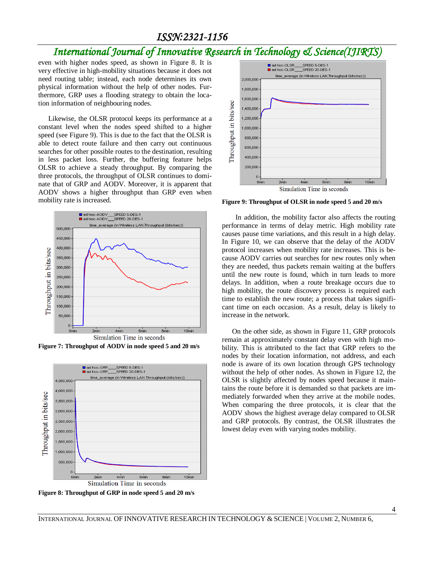### *International Journal of Innovative Research in Technology & Science(IJIRTS)*

even with higher nodes speed, as shown in Figure 8. It is very effective in high-mobility situations because it does not need routing table; instead, each node determines its own physical information without the help of other nodes. Furthermore, GRP uses a flooding strategy to obtain the location information of neighbouring nodes.

Likewise, the OLSR protocol keeps its performance at a constant level when the nodes speed shifted to a higher speed (see Figure 9). This is due to the fact that the OLSR is able to detect route failure and then carry out continuous searches for other possible routes to the destination, resulting in less packet loss. Further, the buffering feature helps OLSR to achieve a steady throughput. By comparing the three protocols, the throughput of OLSR continues to dominate that of GRP and AODV. Moreover, it is apparent that AODV shows a higher throughput than GRP even when mobility rate is increased.



**Figure 7: Throughput of AODV in node speed 5 and 20 m/s**



**Figure 8: Throughput of GRP in node speed 5 and 20 m/s**



**Figure 9: Throughput of OLSR in node speed 5 and 20 m/s**

 In addition, the mobility factor also affects the routing performance in terms of delay metric. High mobility rate causes pause time variations, and this result in a high delay. In Figure 10, we can observe that the delay of the AODV protocol increases when mobility rate increases. This is because AODV carries out searches for new routes only when they are needed, thus packets remain waiting at the buffers until the new route is found, which in turn leads to more delays. In addition, when a route breakage occurs due to high mobility, the route discovery process is required each time to establish the new route; a process that takes significant time on each occasion. As a result, delay is likely to increase in the network.

On the other side, as shown in Figure 11, GRP protocols remain at approximately constant delay even with high mobility. This is attributed to the fact that GRP refers to the nodes by their location information, not address, and each node is aware of its own location through GPS technology without the help of other nodes. As shown in Figure 12, the OLSR is slightly affected by nodes speed because it maintains the route before it is demanded so that packets are immediately forwarded when they arrive at the mobile nodes. When comparing the three protocols, it is clear that the AODV shows the highest average delay compared to OLSR and GRP protocols. By contrast, the OLSR illustrates the lowest delay even with varying nodes mobility.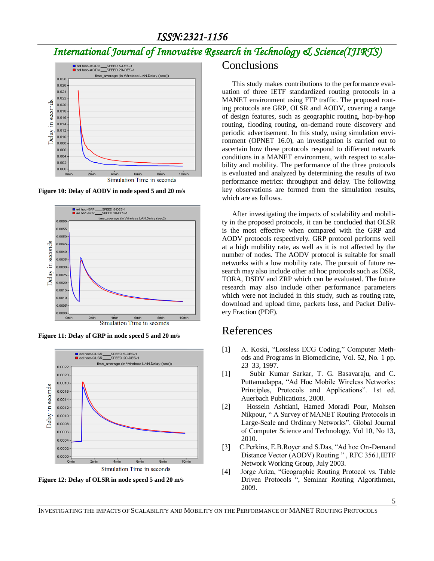# *International Journal of Innovative Research in Technology & Science(IJIRTS)*



**Figure 10: Delay of AODV in node speed 5 and 20 m/s**



**Figure 11: Delay of GRP in node speed 5 and 20 m/s**



**Figure 12: Delay of OLSR in node speed 5 and 20 m/s**

#### **Conclusions**

This study makes contributions to the performance evaluation of three IETF standardized routing protocols in a MANET environment using FTP traffic. The proposed routing protocols are GRP, OLSR and AODV, covering a range of design features, such as geographic routing, hop-by-hop routing, flooding routing, on-demand route discovery and periodic advertisement. In this study, using simulation environment (OPNET 16.0), an investigation is carried out to ascertain how these protocols respond to different network conditions in a MANET environment, with respect to scalability and mobility. The performance of the three protocols is evaluated and analyzed by determining the results of two performance metrics: throughput and delay. The following key observations are formed from the simulation results, which are as follows.

After investigating the impacts of scalability and mobility in the proposed protocols, it can be concluded that OLSR is the most effective when compared with the GRP and AODV protocols respectively. GRP protocol performs well at a high mobility rate, as well as it is not affected by the number of nodes. The AODV protocol is suitable for small networks with a low mobility rate. The pursuit of future research may also include other ad hoc protocols such as DSR, TORA, DSDV and ZRP which can be evaluated. The future research may also include other performance parameters which were not included in this study, such as routing rate, download and upload time, packets loss, and Packet Delivery Fraction (PDF).

# References

- [1] A. Koski, "Lossless ECG Coding," Computer Methods and Programs in Biomedicine, Vol. 52, No. 1 pp. 23–33, 1997.
- [1] Subir Kumar Sarkar, T. G. Basavaraju, and C. Puttamadappa, "Ad Hoc Mobile Wireless Networks: Principles, Protocols and Applications". 1st ed. Auerbach Publications, 2008.
- [2] Hossein Ashtiani, Hamed Moradi Pour, Mohsen Nikpour, " A Survey of MANET Routing Protocols in Large-Scale and Ordinary Networks". Global Journal of Computer Science and Technology, Vol 10, No 13, 2010.
- [3] C.Perkins, E.B.Royer and S.Das, "Ad hoc On-Demand Distance Vector (AODV) Routing " , RFC 3561,IETF Network Working Group, July 2003.
- [4] Jorge Ariza, "Geographic Routing Protocol vs. Table Driven Protocols ", Seminar Routing Algorithmen, 2009.